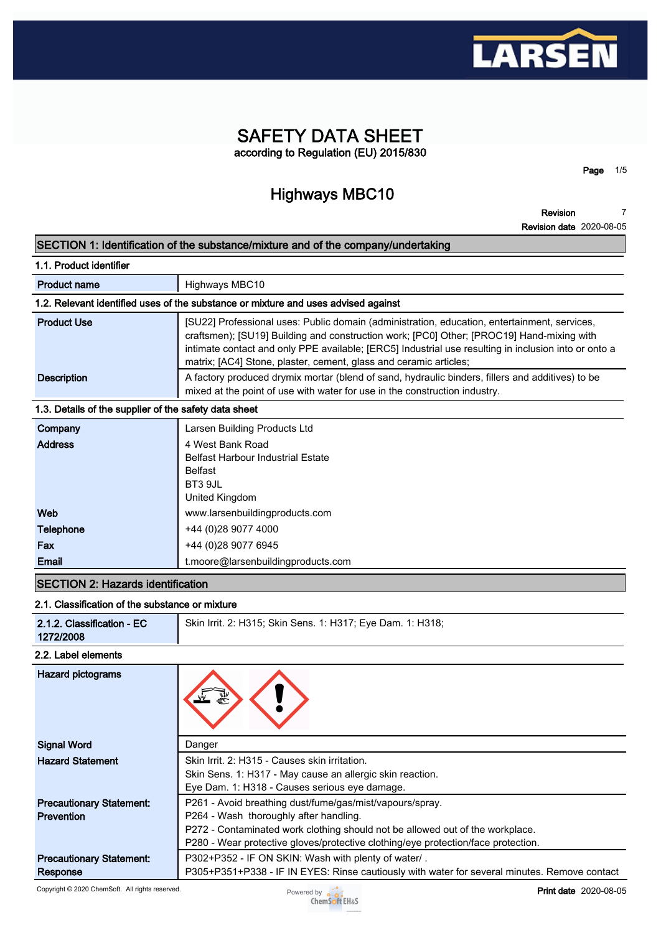

# **SAFETY DATA SHEET according to Regulation (EU) 2015/830**

# **Highways MBC10**

**Page 1/5**

**Revision 7**

|                                                       | <b>Revision date 2020-08-05</b>                                                                                                                                                                                                                                                                                                                                        |
|-------------------------------------------------------|------------------------------------------------------------------------------------------------------------------------------------------------------------------------------------------------------------------------------------------------------------------------------------------------------------------------------------------------------------------------|
|                                                       | SECTION 1: Identification of the substance/mixture and of the company/undertaking                                                                                                                                                                                                                                                                                      |
| 1.1. Product identifier                               |                                                                                                                                                                                                                                                                                                                                                                        |
| <b>Product name</b>                                   | Highways MBC10                                                                                                                                                                                                                                                                                                                                                         |
|                                                       | 1.2. Relevant identified uses of the substance or mixture and uses advised against                                                                                                                                                                                                                                                                                     |
| <b>Product Use</b>                                    | [SU22] Professional uses: Public domain (administration, education, entertainment, services,<br>craftsmen); [SU19] Building and construction work; [PC0] Other; [PROC19] Hand-mixing with<br>intimate contact and only PPE available; [ERC5] Industrial use resulting in inclusion into or onto a<br>matrix; [AC4] Stone, plaster, cement, glass and ceramic articles; |
| <b>Description</b>                                    | A factory produced drymix mortar (blend of sand, hydraulic binders, fillers and additives) to be<br>mixed at the point of use with water for use in the construction industry.                                                                                                                                                                                         |
| 1.3. Details of the supplier of the safety data sheet |                                                                                                                                                                                                                                                                                                                                                                        |
| Company                                               | Larsen Building Products Ltd                                                                                                                                                                                                                                                                                                                                           |
| <b>Address</b>                                        | 4 West Bank Road<br><b>Belfast Harbour Industrial Estate</b><br><b>Belfast</b><br>BT3 9JL<br>United Kingdom                                                                                                                                                                                                                                                            |
| Web                                                   | www.larsenbuildingproducts.com                                                                                                                                                                                                                                                                                                                                         |
| <b>Telephone</b>                                      | +44 (0)28 9077 4000                                                                                                                                                                                                                                                                                                                                                    |
| Fax                                                   | +44 (0)28 9077 6945                                                                                                                                                                                                                                                                                                                                                    |
| <b>Email</b>                                          | t.moore@larsenbuildingproducts.com                                                                                                                                                                                                                                                                                                                                     |
| <b>SECTION 2: Hazards identification</b>              |                                                                                                                                                                                                                                                                                                                                                                        |

### **2.1. Classification of the substance or mixture**

| 2.1.2. Classification - EC<br>1272/2008 | Skin Irrit. 2: H315; Skin Sens. 1: H317; Eye Dam. 1: H318; |
|-----------------------------------------|------------------------------------------------------------|
| 2.2. Label elements                     |                                                            |
|                                         |                                                            |

| Danger                                                                                       |
|----------------------------------------------------------------------------------------------|
| Skin Irrit. 2: H315 - Causes skin irritation.                                                |
| Skin Sens. 1: H317 - May cause an allergic skin reaction.                                    |
| Eye Dam. 1: H318 - Causes serious eye damage.                                                |
| P261 - Avoid breathing dust/fume/gas/mist/vapours/spray.                                     |
| P264 - Wash thoroughly after handling.                                                       |
| P272 - Contaminated work clothing should not be allowed out of the workplace.                |
| P280 - Wear protective gloves/protective clothing/eye protection/face protection.            |
| P302+P352 - IF ON SKIN: Wash with plenty of water/.                                          |
| P305+P351+P338 - IF IN EYES: Rinse cautiously with water for several minutes. Remove contact |
|                                                                                              |

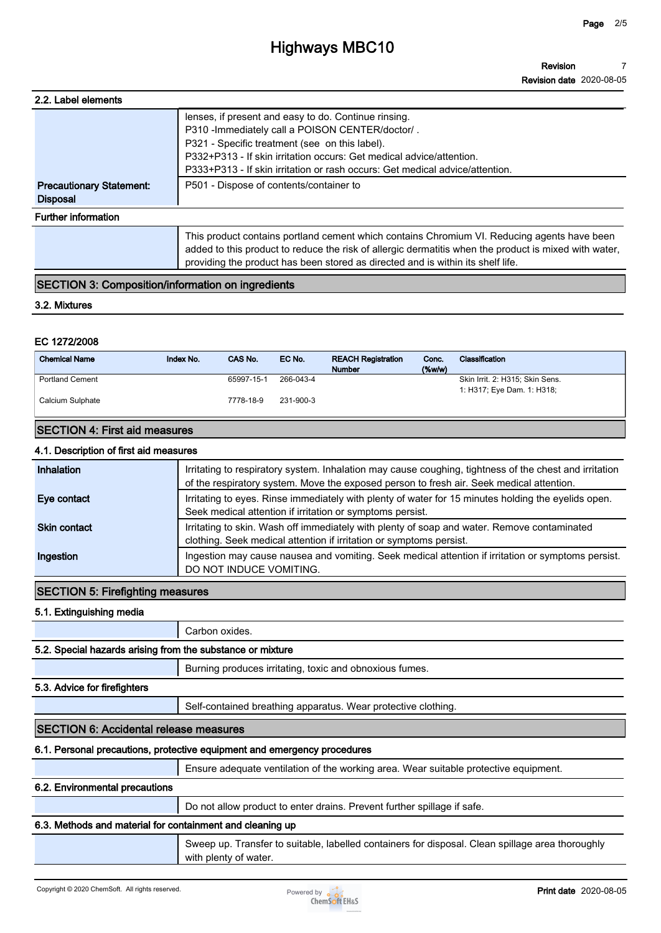# **Highways MBC10**

| 2.2. Label elements                                |                                                                                                                                                                                                                                                                                         |
|----------------------------------------------------|-----------------------------------------------------------------------------------------------------------------------------------------------------------------------------------------------------------------------------------------------------------------------------------------|
|                                                    | lenses, if present and easy to do. Continue rinsing.<br>P310 - Immediately call a POISON CENTER/doctor/.                                                                                                                                                                                |
|                                                    | P321 - Specific treatment (see on this label).                                                                                                                                                                                                                                          |
|                                                    | P332+P313 - If skin irritation occurs: Get medical advice/attention.                                                                                                                                                                                                                    |
|                                                    | P333+P313 - If skin irritation or rash occurs: Get medical advice/attention.                                                                                                                                                                                                            |
| <b>Precautionary Statement:</b><br><b>Disposal</b> | P501 - Dispose of contents/container to                                                                                                                                                                                                                                                 |
| <b>Further information</b>                         |                                                                                                                                                                                                                                                                                         |
|                                                    | This product contains portland cement which contains Chromium VI. Reducing agents have been<br>added to this product to reduce the risk of allergic dermatitis when the product is mixed with water,<br>providing the product has been stored as directed and is within its shelf life. |

# **SECTION 3: Composition/information on ingredients**

#### **3.2. Mixtures**

### **EC 1272/2008**

| <b>Chemical Name</b>   | Index No. | CAS No.    | EC No.    | <b>REACH Registration</b><br><b>Number</b> | Conc.<br>$($ %w/w $)$ | Classification                  |
|------------------------|-----------|------------|-----------|--------------------------------------------|-----------------------|---------------------------------|
| <b>Portland Cement</b> |           | 65997-15-1 | 266-043-4 |                                            |                       | Skin Irrit. 2: H315; Skin Sens. |
|                        |           |            |           |                                            |                       | 1: H317; Eye Dam. 1: H318;      |
| Calcium Sulphate       |           | 7778-18-9  | 231-900-3 |                                            |                       |                                 |
|                        |           |            |           |                                            |                       |                                 |
|                        |           |            |           |                                            |                       |                                 |

# **SECTION 4: First aid measures**

### **4.1. Description of first aid measures**

| Inhalation          | Irritating to respiratory system. Inhalation may cause coughing, tightness of the chest and irritation<br>of the respiratory system. Move the exposed person to fresh air. Seek medical attention. |
|---------------------|----------------------------------------------------------------------------------------------------------------------------------------------------------------------------------------------------|
| Eye contact         | Irritating to eyes. Rinse immediately with plenty of water for 15 minutes holding the eyelids open.<br>Seek medical attention if irritation or symptoms persist.                                   |
| <b>Skin contact</b> | Irritating to skin. Wash off immediately with plenty of soap and water. Remove contaminated<br>clothing. Seek medical attention if irritation or symptoms persist.                                 |
| Ingestion           | Ingestion may cause nausea and vomiting. Seek medical attention if irritation or symptoms persist.<br>DO NOT INDUCE VOMITING.                                                                      |

# **SECTION 5: Firefighting measures**

**5.1. Extinguishing media**

**Carbon oxides.**

### **5.2. Special hazards arising from the substance or mixture**

**Burning produces irritating, toxic and obnoxious fumes.**

### **5.3. Advice for firefighters**

**Self-contained breathing apparatus. Wear protective clothing.**

### **SECTION 6: Accidental release measures**

#### **6.1. Personal precautions, protective equipment and emergency procedures**

**Ensure adequate ventilation of the working area. Wear suitable protective equipment.**

### **6.2. Environmental precautions**

**Do not allow product to enter drains. Prevent further spillage if safe.**

### **6.3. Methods and material for containment and cleaning up**

**Sweep up. Transfer to suitable, labelled containers for disposal. Clean spillage area thoroughly with plenty of water.**

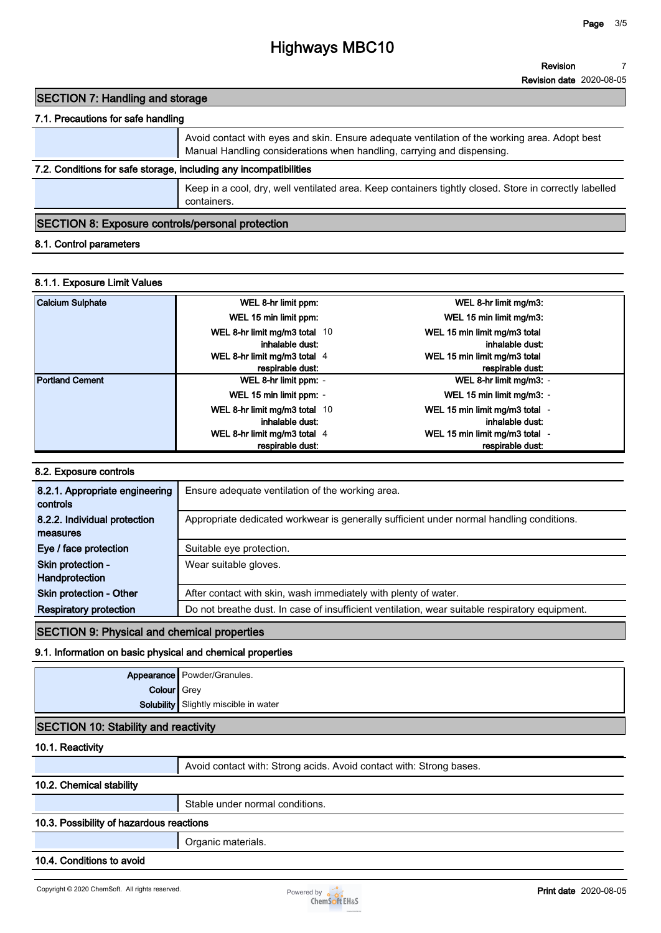# **Highways MBC10**

# **SECTION 7: Handling and storage**

# **7.1. Precautions for safe handling**

|                                                                   | Avoid contact with eyes and skin. Ensure adequate ventilation of the working area. Adopt best<br>Manual Handling considerations when handling, carrying and dispensing. |
|-------------------------------------------------------------------|-------------------------------------------------------------------------------------------------------------------------------------------------------------------------|
| 7.2. Conditions for safe storage, including any incompatibilities |                                                                                                                                                                         |
|                                                                   | Keep in a cool, dry, well ventilated area. Keep containers tightly closed. Store in correctly labelled<br>containers.                                                   |

### **SECTION 8: Exposure controls/personal protection**

### **8.1. Control parameters**

### **8.1.1. Exposure Limit Values**

| <b>Calcium Sulphate</b> | WEL 8-hr limit ppm:           | WEL 8-hr limit mg/m3:          |  |
|-------------------------|-------------------------------|--------------------------------|--|
|                         | WEL 15 min limit ppm:         | WEL 15 min limit mg/m3:        |  |
|                         | WEL 8-hr limit mg/m3 total 10 | WEL 15 min limit mg/m3 total   |  |
|                         | inhalable dust:               | inhalable dust:                |  |
|                         | WEL 8-hr limit mg/m3 total 4  | WEL 15 min limit mg/m3 total   |  |
|                         | respirable dust:              | respirable dust:               |  |
| <b>Portland Cement</b>  | WEL 8-hr limit ppm: -         | WEL 8-hr limit mg/m3: -        |  |
|                         | WEL 15 min limit ppm: -       | WEL 15 min limit mg/m3: -      |  |
|                         | WEL 8-hr limit mg/m3 total 10 | WEL 15 min limit mg/m3 total - |  |
|                         | inhalable dust:               | inhalable dust:                |  |
|                         | WEL 8-hr limit mg/m3 total 4  | WEL 15 min limit mg/m3 total - |  |
|                         | respirable dust:              | respirable dust:               |  |

#### **8.2. Exposure controls**

| 8.2.1. Appropriate engineering<br>controls | Ensure adequate ventilation of the working area.                                               |
|--------------------------------------------|------------------------------------------------------------------------------------------------|
| 8.2.2. Individual protection               | Appropriate dedicated workwear is generally sufficient under normal handling conditions.       |
| measures                                   |                                                                                                |
| Eye / face protection                      | Suitable eye protection.                                                                       |
| Skin protection -                          | Wear suitable gloves.                                                                          |
| Handprotection                             |                                                                                                |
| <b>Skin protection - Other</b>             | After contact with skin, wash immediately with plenty of water.                                |
| <b>Respiratory protection</b>              | Do not breathe dust. In case of insufficient ventilation, wear suitable respiratory equipment. |

# **SECTION 9: Physical and chemical properties**

# **9.1. Information on basic physical and chemical properties**

|                    | Appearance Powder/Granules.                  |
|--------------------|----------------------------------------------|
| <b>Colour</b> Grey |                                              |
|                    | <b>Solubility</b> Slightly miscible in water |
|                    |                                              |

# **SECTION 10: Stability and reactivity**

# **10.1. Reactivity**

|                                          | Avoid contact with: Strong acids. Avoid contact with: Strong bases. |  |
|------------------------------------------|---------------------------------------------------------------------|--|
| 10.2. Chemical stability                 |                                                                     |  |
|                                          | Stable under normal conditions.                                     |  |
| 10.3. Possibility of hazardous reactions |                                                                     |  |
|                                          | Organic materials.                                                  |  |

#### **10.4. Conditions to avoid**

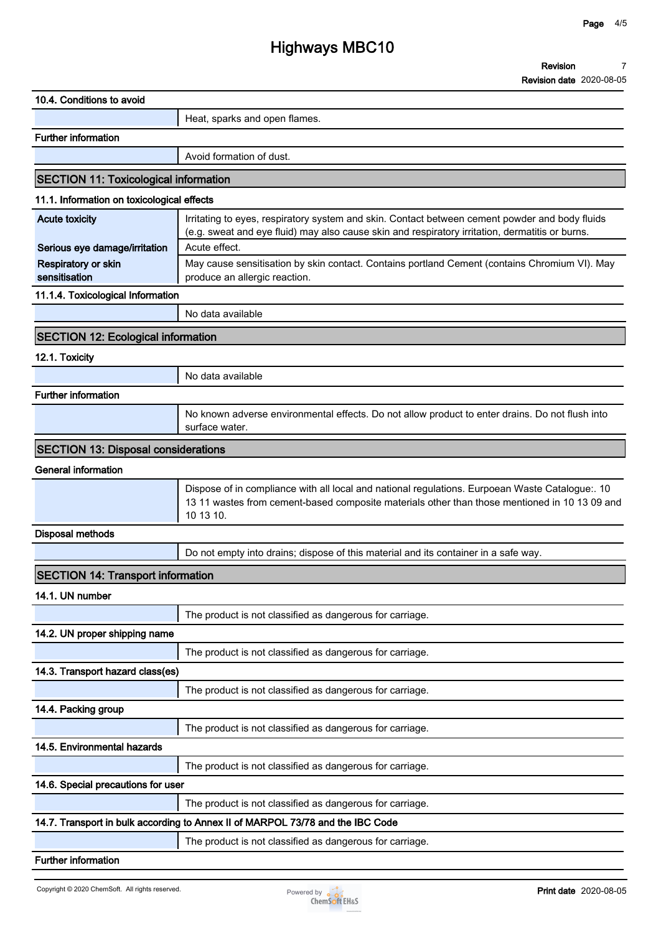# **Highways MBC10**

| 10.4. Conditions to avoid                    |                                                                                                                                                                                                               |
|----------------------------------------------|---------------------------------------------------------------------------------------------------------------------------------------------------------------------------------------------------------------|
|                                              | Heat, sparks and open flames.                                                                                                                                                                                 |
| <b>Further information</b>                   |                                                                                                                                                                                                               |
|                                              | Avoid formation of dust.                                                                                                                                                                                      |
| <b>SECTION 11: Toxicological information</b> |                                                                                                                                                                                                               |
| 11.1. Information on toxicological effects   |                                                                                                                                                                                                               |
| <b>Acute toxicity</b>                        | Irritating to eyes, respiratory system and skin. Contact between cement powder and body fluids<br>(e.g. sweat and eye fluid) may also cause skin and respiratory irritation, dermatitis or burns.             |
| Serious eye damage/irritation                | Acute effect.                                                                                                                                                                                                 |
| Respiratory or skin<br>sensitisation         | May cause sensitisation by skin contact. Contains portland Cement (contains Chromium VI). May<br>produce an allergic reaction.                                                                                |
| 11.1.4. Toxicological Information            |                                                                                                                                                                                                               |
|                                              | No data available                                                                                                                                                                                             |
| <b>SECTION 12: Ecological information</b>    |                                                                                                                                                                                                               |
| 12.1. Toxicity                               |                                                                                                                                                                                                               |
|                                              | No data available                                                                                                                                                                                             |
| <b>Further information</b>                   |                                                                                                                                                                                                               |
|                                              | No known adverse environmental effects. Do not allow product to enter drains. Do not flush into<br>surface water.                                                                                             |
| <b>SECTION 13: Disposal considerations</b>   |                                                                                                                                                                                                               |
| <b>General information</b>                   |                                                                                                                                                                                                               |
|                                              | Dispose of in compliance with all local and national regulations. Eurpoean Waste Catalogue:. 10<br>13 11 wastes from cement-based composite materials other than those mentioned in 10 13 09 and<br>10 13 10. |
| <b>Disposal methods</b>                      |                                                                                                                                                                                                               |
|                                              | Do not empty into drains; dispose of this material and its container in a safe way.                                                                                                                           |
| <b>SECTION 14: Transport information</b>     |                                                                                                                                                                                                               |
| 14.1. UN number                              |                                                                                                                                                                                                               |
|                                              | The product is not classified as dangerous for carriage.                                                                                                                                                      |
| 14.2. UN proper shipping name                |                                                                                                                                                                                                               |
|                                              | The product is not classified as dangerous for carriage.                                                                                                                                                      |
| 14.3. Transport hazard class(es)             |                                                                                                                                                                                                               |
|                                              | The product is not classified as dangerous for carriage.                                                                                                                                                      |
| 14.4. Packing group                          |                                                                                                                                                                                                               |
|                                              | The product is not classified as dangerous for carriage.                                                                                                                                                      |
| 14.5. Environmental hazards                  |                                                                                                                                                                                                               |
|                                              | The product is not classified as dangerous for carriage.                                                                                                                                                      |
| 14.6. Special precautions for user           |                                                                                                                                                                                                               |
|                                              | The product is not classified as dangerous for carriage.                                                                                                                                                      |
|                                              | 14.7. Transport in bulk according to Annex II of MARPOL 73/78 and the IBC Code                                                                                                                                |
|                                              | The product is not classified as dangerous for carriage.                                                                                                                                                      |
| <b>Further information</b>                   |                                                                                                                                                                                                               |